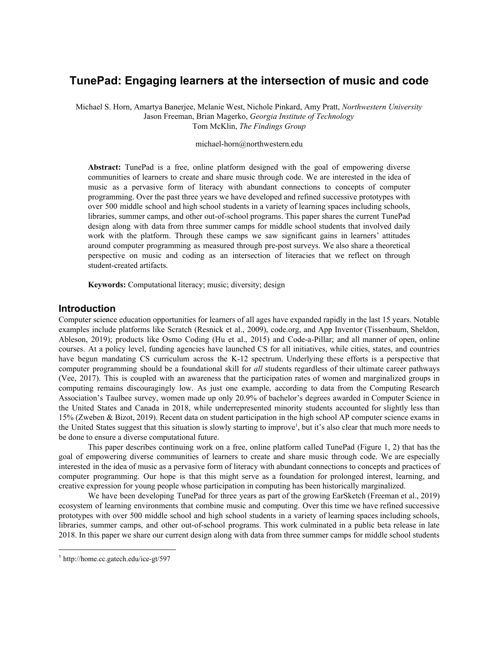# **TunePad: Engaging learners at the intersection of music and code**

Michael S. Horn, Amartya Banerjee, Melanie West, Nichole Pinkard, Amy Pratt, *Northwestern University* Jason Freeman, Brian Magerko, *Georgia Institute of Technology* Tom McKlin, *The Findings Group*

#### michael-horn@northwestern.edu

**Abstract:** TunePad is a free, online platform designed with the goal of empowering diverse communities of learners to create and share music through code. We are interested in the idea of music as a pervasive form of literacy with abundant connections to concepts of computer programming. Over the past three years we have developed and refined successive prototypes with over 500 middle school and high school students in a variety of learning spaces including schools, libraries, summer camps, and other out-of-school programs. This paper shares the current TunePad design along with data from three summer camps for middle school students that involved daily work with the platform. Through these camps we saw significant gains in learners' attitudes around computer programming as measured through pre-post surveys. We also share a theoretical perspective on music and coding as an intersection of literacies that we reflect on through student-created artifacts.

**Keywords:** Computational literacy; music; diversity; design

#### **Introduction**

Computer science education opportunities for learners of all ages have expanded rapidly in the last 15 years. Notable examples include platforms like Scratch (Resnick et al., 2009), code.org, and App Inventor (Tissenbaum, Sheldon, Ableson, 2019); products like Osmo Coding (Hu et al., 2015) and Code-a-Pillar; and all manner of open, online courses. At a policy level, funding agencies have launched CS for all initiatives, while cities, states, and countries have begun mandating CS curriculum across the K-12 spectrum. Underlying these efforts is a perspective that computer programming should be a foundational skill for *all* students regardless of their ultimate career pathways (Vee, 2017). This is coupled with an awareness that the participation rates of women and marginalized groups in computing remains discouragingly low. As just one example, according to data from the Computing Research Association's Taulbee survey, women made up only 20.9% of bachelor's degrees awarded in Computer Science in the United States and Canada in 2018, while underrepresented minority students accounted for slightly less than 15% (Zweben & Bizot, 2019). Recent data on student participation in the high school AP computer science exams in the United States suggest that this situation is slowly starting to improve<sup>1</sup>, but it's also clear that much more needs to be done to ensure a diverse computational future.

This paper describes continuing work on a free, online platform called TunePad (Figure 1, 2) that has the goal of empowering diverse communities of learners to create and share music through code. We are especially interested in the idea of music as a pervasive form of literacy with abundant connections to concepts and practices of computer programming. Our hope is that this might serve as a foundation for prolonged interest, learning, and creative expression for young people whose participation in computing has been historically marginalized.

We have been developing TunePad for three years as part of the growing EarSketch (Freeman et al., 2019) ecosystem of learning environments that combine music and computing. Over this time we have refined successive prototypes with over 500 middle school and high school students in a variety of learning spaces including schools, libraries, summer camps, and other out-of-school programs. This work culminated in a public beta release in late 2018. In this paper we share our current design along with data from three summer camps for middle school students

<sup>1</sup> http://home.cc.gatech.edu/ice-gt/597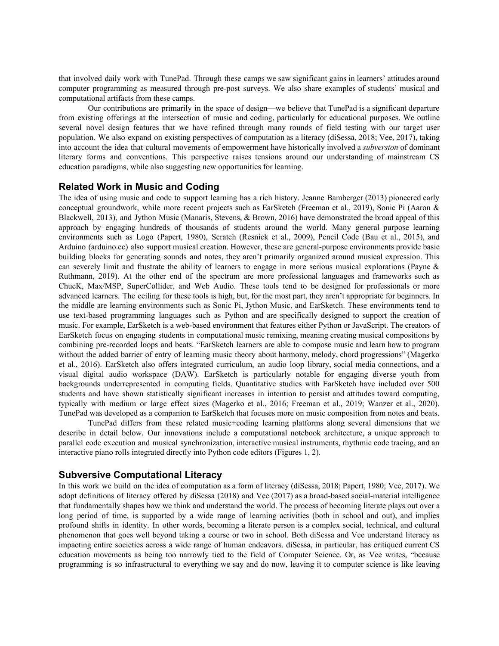that involved daily work with TunePad. Through these camps we saw significant gains in learners' attitudes around computer programming as measured through pre-post surveys. We also share examples of students' musical and computational artifacts from these camps.

Our contributions are primarily in the space of design—we believe that TunePad is a significant departure from existing offerings at the intersection of music and coding, particularly for educational purposes. We outline several novel design features that we have refined through many rounds of field testing with our target user population. We also expand on existing perspectives of computation as a literacy (diSessa, 2018; Vee, 2017), taking into account the idea that cultural movements of empowerment have historically involved a *subversion* of dominant literary forms and conventions. This perspective raises tensions around our understanding of mainstream CS education paradigms, while also suggesting new opportunities for learning.

#### **Related Work in Music and Coding**

The idea of using music and code to support learning has a rich history. Jeanne Bamberger (2013) pioneered early conceptual groundwork, while more recent projects such as EarSketch (Freeman et al., 2019), Sonic Pi (Aaron & Blackwell, 2013), and Jython Music (Manaris, Stevens, & Brown, 2016) have demonstrated the broad appeal of this approach by engaging hundreds of thousands of students around the world. Many general purpose learning environments such as Logo (Papert, 1980), Scratch (Resnick et al., 2009), Pencil Code (Bau et al., 2015), and Arduino (arduino.cc) also support musical creation. However, these are general-purpose environments provide basic building blocks for generating sounds and notes, they aren't primarily organized around musical expression. This can severely limit and frustrate the ability of learners to engage in more serious musical explorations (Payne  $\&$ Ruthmann, 2019). At the other end of the spectrum are more professional languages and frameworks such as ChucK, Max/MSP, SuperCollider, and Web Audio. These tools tend to be designed for professionals or more advanced learners. The ceiling for these tools is high, but, for the most part, they aren't appropriate for beginners. In the middle are learning environments such as Sonic Pi, Jython Music, and EarSketch. These environments tend to use text-based programming languages such as Python and are specifically designed to support the creation of music. For example, EarSketch is a web-based environment that features either Python or JavaScript. The creators of EarSketch focus on engaging students in computational music remixing, meaning creating musical compositions by combining pre-recorded loops and beats. "EarSketch learners are able to compose music and learn how to program without the added barrier of entry of learning music theory about harmony, melody, chord progressions" (Magerko et al., 2016). EarSketch also offers integrated curriculum, an audio loop library, social media connections, and a visual digital audio workspace (DAW). EarSketch is particularly notable for engaging diverse youth from backgrounds underrepresented in computing fields. Quantitative studies with EarSketch have included over 500 students and have shown statistically significant increases in intention to persist and attitudes toward computing, typically with medium or large effect sizes (Magerko et al., 2016; Freeman et al., 2019; Wanzer et al., 2020). TunePad was developed as a companion to EarSketch that focuses more on music composition from notes and beats.

TunePad differs from these related music+coding learning platforms along several dimensions that we describe in detail below. Our innovations include a computational notebook architecture, a unique approach to parallel code execution and musical synchronization, interactive musical instruments, rhythmic code tracing, and an interactive piano rolls integrated directly into Python code editors (Figures 1, 2).

### **Subversive Computational Literacy**

In this work we build on the idea of computation as a form of literacy (diSessa, 2018; Papert, 1980; Vee, 2017). We adopt definitions of literacy offered by diSessa (2018) and Vee (2017) as a broad-based social-material intelligence that fundamentally shapes how we think and understand the world. The process of becoming literate plays out over a long period of time, is supported by a wide range of learning activities (both in school and out), and implies profound shifts in identity. In other words, becoming a literate person is a complex social, technical, and cultural phenomenon that goes well beyond taking a course or two in school. Both diSessa and Vee understand literacy as impacting entire societies across a wide range of human endeavors. diSessa, in particular, has critiqued current CS education movements as being too narrowly tied to the field of Computer Science. Or, as Vee writes, "because programming is so infrastructural to everything we say and do now, leaving it to computer science is like leaving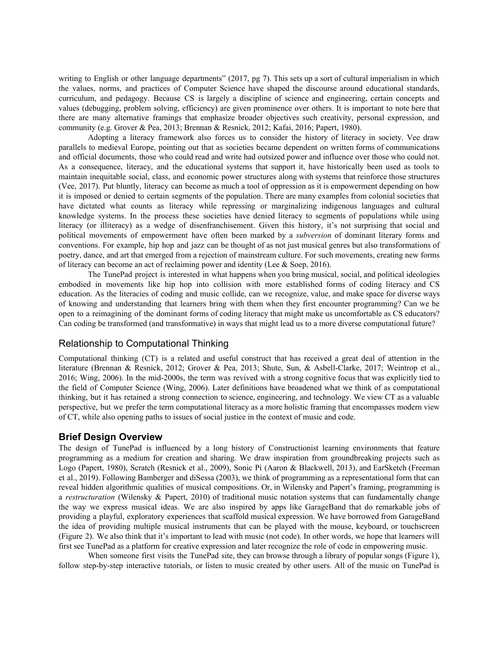writing to English or other language departments" (2017, pg 7). This sets up a sort of cultural imperialism in which the values, norms, and practices of Computer Science have shaped the discourse around educational standards, curriculum, and pedagogy. Because CS is largely a discipline of science and engineering, certain concepts and values (debugging, problem solving, efficiency) are given prominence over others. It is important to note here that there are many alternative framings that emphasize broader objectives such creativity, personal expression, and community (e.g. Grover & Pea, 2013; Brennan & Resnick, 2012; Kafai, 2016; Papert, 1980).

Adopting a literacy framework also forces us to consider the history of literacy in society. Vee draw parallels to medieval Europe, pointing out that as societies became dependent on written forms of communications and official documents, those who could read and write had outsized power and influence over those who could not. As a consequence, literacy, and the educational systems that support it, have historically been used as tools to maintain inequitable social, class, and economic power structures along with systems that reinforce those structures (Vee, 2017). Put bluntly, literacy can become as much a tool of oppression as it is empowerment depending on how it is imposed or denied to certain segments of the population. There are many examples from colonial societies that have dictated what counts as literacy while repressing or marginalizing indigenous languages and cultural knowledge systems. In the process these societies have denied literacy to segments of populations while using literacy (or illiteracy) as a wedge of disenfranchisement. Given this history, it's not surprising that social and political movements of empowerment have often been marked by a *subversion* of dominant literary forms and conventions. For example, hip hop and jazz can be thought of as not just musical genres but also transformations of poetry, dance, and art that emerged from a rejection of mainstream culture. For such movements, creating new forms of literacy can become an act of reclaiming power and identity (Lee & Soep, 2016).

The TunePad project is interested in what happens when you bring musical, social, and political ideologies embodied in movements like hip hop into collision with more established forms of coding literacy and CS education. As the literacies of coding and music collide, can we recognize, value, and make space for diverse ways of knowing and understanding that learners bring with them when they first encounter programming? Can we be open to a reimagining of the dominant forms of coding literacy that might make us uncomfortable as CS educators? Can coding be transformed (and transformative) in ways that might lead us to a more diverse computational future?

## Relationship to Computational Thinking

Computational thinking (CT) is a related and useful construct that has received a great deal of attention in the literature (Brennan & Resnick, 2012; Grover & Pea, 2013; Shute, Sun, & Asbell-Clarke, 2017; Weintrop et al., 2016; Wing, 2006). In the mid-2000s, the term was revived with a strong cognitive focus that was explicitly tied to the field of Computer Science (Wing, 2006). Later definitions have broadened what we think of as computational thinking, but it has retained a strong connection to science, engineering, and technology. We view CT as a valuable perspective, but we prefer the term computational literacy as a more holistic framing that encompasses modern view of CT, while also opening paths to issues of social justice in the context of music and code.

## **Brief Design Overview**

The design of TunePad is influenced by a long history of Constructionist learning environments that feature programming as a medium for creation and sharing. We draw inspiration from groundbreaking projects such as Logo (Papert, 1980), Scratch (Resnick et al., 2009), Sonic Pi (Aaron & Blackwell, 2013), and EarSketch (Freeman et al., 2019). Following Bamberger and diSessa (2003), we think of programming as a representational form that can reveal hidden algorithmic qualities of musical compositions. Or, in Wilensky and Papert's framing, programming is a *restructuration* (Wilensky & Papert, 2010) of traditional music notation systems that can fundamentally change the way we express musical ideas. We are also inspired by apps like GarageBand that do remarkable jobs of providing a playful, exploratory experiences that scaffold musical expression. We have borrowed from GarageBand the idea of providing multiple musical instruments that can be played with the mouse, keyboard, or touchscreen (Figure 2). We also think that it's important to lead with music (not code). In other words, we hope that learners will first see TunePad as a platform for creative expression and later recognize the role of code in empowering music.

When someone first visits the TunePad site, they can browse through a library of popular songs (Figure 1), follow step-by-step interactive tutorials, or listen to music created by other users. All of the music on TunePad is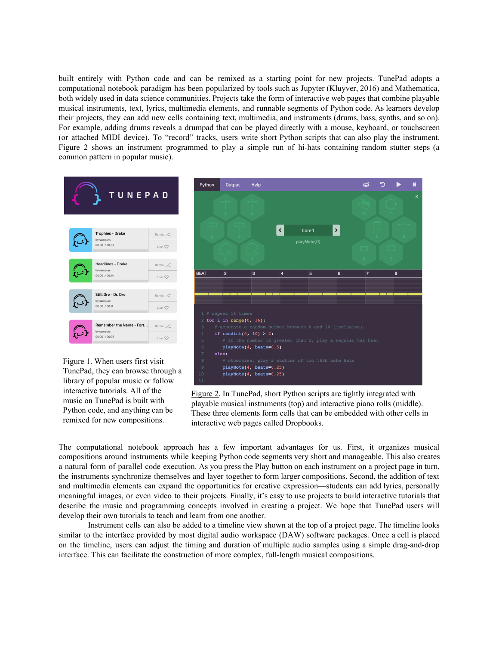built entirely with Python code and can be remixed as a starting point for new projects. TunePad adopts a computational notebook paradigm has been popularized by tools such as Jupyter (Kluyver, 2016) and Mathematica, both widely used in data science communities. Projects take the form of interactive web pages that combine playable musical instruments, text, lyrics, multimedia elements, and runnable segments of Python code. As learners develop their projects, they can add new cells containing text, multimedia, and instruments (drums, bass, synths, and so on). For example, adding drums reveals a drumpad that can be played directly with a mouse, keyboard, or touchscreen (or attached MIDI device). To "record" tracks, users write short Python scripts that can also play the instrument. Figure 2 shows an instrument programmed to play a simple run of hi-hats containing random stutter steps (a common pattern in popular music).



Figure 1. When users first visit TunePad, they can browse through a library of popular music or follow interactive tutorials. All of the music on TunePad is built with Python code, and anything can be remixed for new compositions.



Figure 2. In TunePad, short Python scripts are tightly integrated with playable musical instruments (top) and interactive piano rolls (middle). These three elements form cells that can be embedded with other cells in interactive web pages called Dropbooks.

The computational notebook approach has a few important advantages for us. First, it organizes musical compositions around instruments while keeping Python code segments very short and manageable. This also creates a natural form of parallel code execution. As you press the Play button on each instrument on a project page in turn, the instruments synchronize themselves and layer together to form larger compositions. Second, the addition of text and multimedia elements can expand the opportunities for creative expression—students can add lyrics, personally meaningful images, or even video to their projects. Finally, it's easy to use projects to build interactive tutorials that describe the music and programming concepts involved in creating a project. We hope that TunePad users will develop their own tutorials to teach and learn from one another.

Instrument cells can also be added to a timeline view shown at the top of a project page. The timeline looks similar to the interface provided by most digital audio workspace (DAW) software packages. Once a cell is placed on the timeline, users can adjust the timing and duration of multiple audio samples using a simple drag-and-drop interface. This can facilitate the construction of more complex, full-length musical compositions.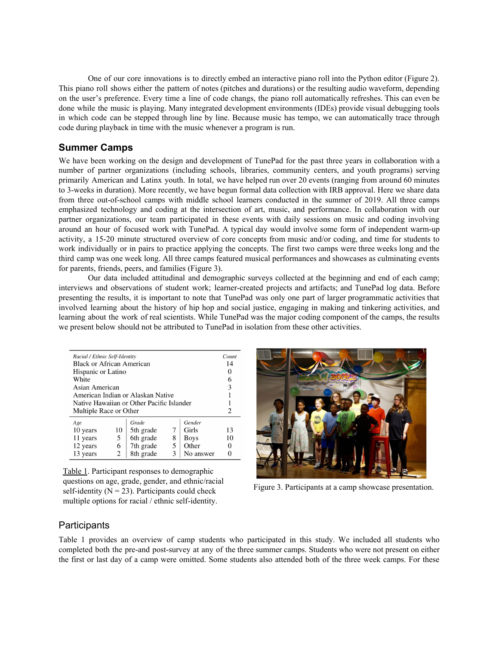One of our core innovations is to directly embed an interactive piano roll into the Python editor (Figure 2). This piano roll shows either the pattern of notes (pitches and durations) or the resulting audio waveform, depending on the user's preference. Every time a line of code changs, the piano roll automatically refreshes. This can even be done while the music is playing. Many integrated development environments (IDEs) provide visual debugging tools in which code can be stepped through line by line. Because music has tempo, we can automatically trace through code during playback in time with the music whenever a program is run.

## **Summer Camps**

We have been working on the design and development of TunePad for the past three years in collaboration with a number of partner organizations (including schools, libraries, community centers, and youth programs) serving primarily American and Latinx youth. In total, we have helped run over 20 events (ranging from around 60 minutes to 3-weeks in duration). More recently, we have begun formal data collection with IRB approval. Here we share data from three out-of-school camps with middle school learners conducted in the summer of 2019. All three camps emphasized technology and coding at the intersection of art, music, and performance. In collaboration with our partner organizations, our team participated in these events with daily sessions on music and coding involving around an hour of focused work with TunePad. A typical day would involve some form of independent warm-up activity, a 15-20 minute structured overview of core concepts from music and/or coding, and time for students to work individually or in pairs to practice applying the concepts. The first two camps were three weeks long and the third camp was one week long. All three camps featured musical performances and showcases as culminating events for parents, friends, peers, and families (Figure 3).

Our data included attitudinal and demographic surveys collected at the beginning and end of each camp; interviews and observations of student work; learner-created projects and artifacts; and TunePad log data. Before presenting the results, it is important to note that TunePad was only one part of larger programmatic activities that involved learning about the history of hip hop and social justice, engaging in making and tinkering activities, and learning about the work of real scientists. While TunePad was the major coding component of the camps, the results we present below should not be attributed to TunePad in isolation from these other activities.

| Racial / Ethnic Self-Identity<br>Black or African American<br>Hispanic or Latino<br>White<br>Asian American<br>American Indian or Alaskan Native<br>Native Hawaiian or Other Pacific Islander<br>Multiple Race or Other |                   |                                                           |                  |                                                      | Count<br>14<br>0<br>6<br>3                          |
|-------------------------------------------------------------------------------------------------------------------------------------------------------------------------------------------------------------------------|-------------------|-----------------------------------------------------------|------------------|------------------------------------------------------|-----------------------------------------------------|
| Age<br>10 years<br>11 years<br>12 years<br>13 years                                                                                                                                                                     | 10<br>5<br>6<br>2 | Grade<br>5th grade<br>6th grade<br>7th grade<br>8th grade | 7<br>8<br>5<br>3 | Gender<br>Girls<br><b>Boys</b><br>Other<br>No answer | $\mathcal{D}_{\mathcal{A}}$<br>13<br>10<br>$\theta$ |

Table 1. Participant responses to demographic questions on age, grade, gender, and ethnic/racial self-identity ( $N = 23$ ). Participants could check multiple options for racial / ethnic self-identity.



Figure 3. Participants at a camp showcase presentation.

## **Participants**

Table 1 provides an overview of camp students who participated in this study. We included all students who completed both the pre-and post-survey at any of the three summer camps. Students who were not present on either the first or last day of a camp were omitted. Some students also attended both of the three week camps. For these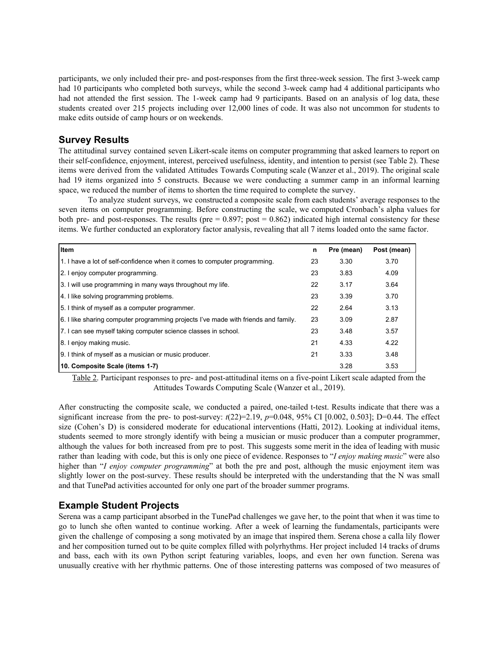participants, we only included their pre- and post-responses from the first three-week session. The first 3-week camp had 10 participants who completed both surveys, while the second 3-week camp had 4 additional participants who had not attended the first session. The 1-week camp had 9 participants. Based on an analysis of log data, these students created over 215 projects including over 12,000 lines of code. It was also not uncommon for students to make edits outside of camp hours or on weekends.

## **Survey Results**

The attitudinal survey contained seven Likert-scale items on computer programming that asked learners to report on their self-confidence, enjoyment, interest, perceived usefulness, identity, and intention to persist (see Table 2). These items were derived from the validated Attitudes Towards Computing scale (Wanzer et al., 2019). The original scale had 19 items organized into 5 constructs. Because we were conducting a summer camp in an informal learning space, we reduced the number of items to shorten the time required to complete the survey.

To analyze student surveys, we constructed a composite scale from each students' average responses to the seven items on computer programming. Before constructing the scale, we computed Cronbach's alpha values for both pre- and post-responses. The results (pre  $= 0.897$ ; post  $= 0.862$ ) indicated high internal consistency for these items. We further conducted an exploratory factor analysis, revealing that all 7 items loaded onto the same factor.

| <b>Item</b>                                                                        | n  | Pre (mean) | Post (mean) |
|------------------------------------------------------------------------------------|----|------------|-------------|
| 1. I have a lot of self-confidence when it comes to computer programming.          | 23 | 3.30       | 3.70        |
| 2. I enjoy computer programming.                                                   | 23 | 3.83       | 4.09        |
| 3. I will use programming in many ways throughout my life.                         | 22 | 3.17       | 3.64        |
| 4. I like solving programming problems.                                            | 23 | 3.39       | 3.70        |
| 5. I think of myself as a computer programmer.                                     | 22 | 2.64       | 3.13        |
| 6. I like sharing computer programming projects I've made with friends and family. | 23 | 3.09       | 2.87        |
| 7. I can see myself taking computer science classes in school.                     | 23 | 3.48       | 3.57        |
| 8. I enjoy making music.                                                           | 21 | 4.33       | 4.22        |
| 9. I think of myself as a musician or music producer.                              | 21 | 3.33       | 3.48        |
| 10. Composite Scale (items 1-7)                                                    |    | 3.28       | 3.53        |

Table 2. Participant responses to pre- and post-attitudinal items on a five-point Likert scale adapted from the Attitudes Towards Computing Scale (Wanzer et al., 2019).

After constructing the composite scale, we conducted a paired, one-tailed t-test. Results indicate that there was a significant increase from the pre- to post-survey:  $t(22)=2.19$ ,  $p=0.048$ , 95% CI [0.002, 0.503]; D=0.44. The effect size (Cohen's D) is considered moderate for educational interventions (Hatti, 2012). Looking at individual items, students seemed to more strongly identify with being a musician or music producer than a computer programmer, although the values for both increased from pre to post. This suggests some merit in the idea of leading with music rather than leading with code, but this is only one piece of evidence. Responses to "*I enjoy making music*" were also higher than "*I enjoy computer programming*" at both the pre and post, although the music enjoyment item was slightly lower on the post-survey. These results should be interpreted with the understanding that the N was small and that TunePad activities accounted for only one part of the broader summer programs.

## **Example Student Projects**

Serena was a camp participant absorbed in the TunePad challenges we gave her, to the point that when it was time to go to lunch she often wanted to continue working. After a week of learning the fundamentals, participants were given the challenge of composing a song motivated by an image that inspired them. Serena chose a calla lily flower and her composition turned out to be quite complex filled with polyrhythms. Her project included 14 tracks of drums and bass, each with its own Python script featuring variables, loops, and even her own function. Serena was unusually creative with her rhythmic patterns. One of those interesting patterns was composed of two measures of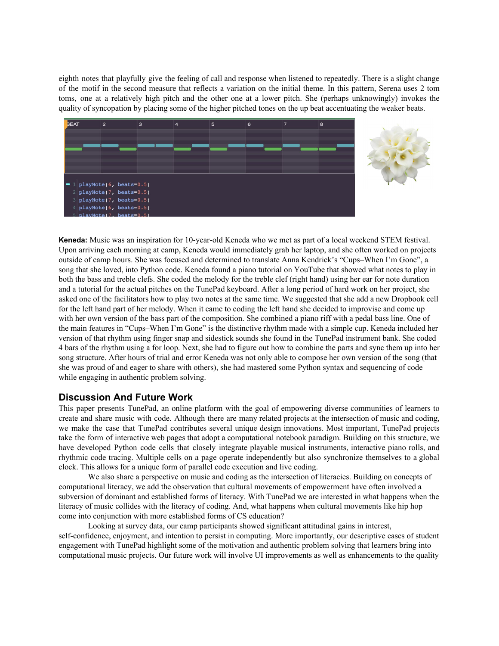eighth notes that playfully give the feeling of call and response when listened to repeatedly. There is a slight change of the motif in the second measure that reflects a variation on the initial theme. In this pattern, Serena uses 2 tom toms, one at a relatively high pitch and the other one at a lower pitch. She (perhaps unknowingly) invokes the quality of syncopation by placing some of the higher pitched tones on the up beat accentuating the weaker beats.





**Keneda:** Music was an inspiration for 10-year-old Keneda who we met as part of a local weekend STEM festival. Upon arriving each morning at camp, Keneda would immediately grab her laptop, and she often worked on projects outside of camp hours. She was focused and determined to translate Anna Kendrick's "Cups–When I'm Gone", a song that she loved, into Python code. Keneda found a piano tutorial on YouTube that showed what notes to play in both the bass and treble clefs. She coded the melody for the treble clef (right hand) using her ear for note duration and a tutorial for the actual pitches on the TunePad keyboard. After a long period of hard work on her project, she asked one of the facilitators how to play two notes at the same time. We suggested that she add a new Dropbook cell for the left hand part of her melody. When it came to coding the left hand she decided to improvise and come up with her own version of the bass part of the composition. She combined a piano riff with a pedal bass line. One of the main features in "Cups–When I'm Gone" is the distinctive rhythm made with a simple cup. Keneda included her version of that rhythm using finger snap and sidestick sounds she found in the TunePad instrument bank. She coded 4 bars of the rhythm using a for loop. Next, she had to figure out how to combine the parts and sync them up into her song structure. After hours of trial and error Keneda was not only able to compose her own version of the song (that she was proud of and eager to share with others), she had mastered some Python syntax and sequencing of code while engaging in authentic problem solving.

## **Discussion And Future Work**

This paper presents TunePad, an online platform with the goal of empowering diverse communities of learners to create and share music with code. Although there are many related projects at the intersection of music and coding, we make the case that TunePad contributes several unique design innovations. Most important, TunePad projects take the form of interactive web pages that adopt a computational notebook paradigm. Building on this structure, we have developed Python code cells that closely integrate playable musical instruments, interactive piano rolls, and rhythmic code tracing. Multiple cells on a page operate independently but also synchronize themselves to a global clock. This allows for a unique form of parallel code execution and live coding.

We also share a perspective on music and coding as the intersection of literacies. Building on concepts of computational literacy, we add the observation that cultural movements of empowerment have often involved a subversion of dominant and established forms of literacy. With TunePad we are interested in what happens when the literacy of music collides with the literacy of coding. And, what happens when cultural movements like hip hop come into conjunction with more established forms of CS education?

Looking at survey data, our camp participants showed significant attitudinal gains in interest, self-confidence, enjoyment, and intention to persist in computing. More importantly, our descriptive cases of student engagement with TunePad highlight some of the motivation and authentic problem solving that learners bring into computational music projects. Our future work will involve UI improvements as well as enhancements to the quality